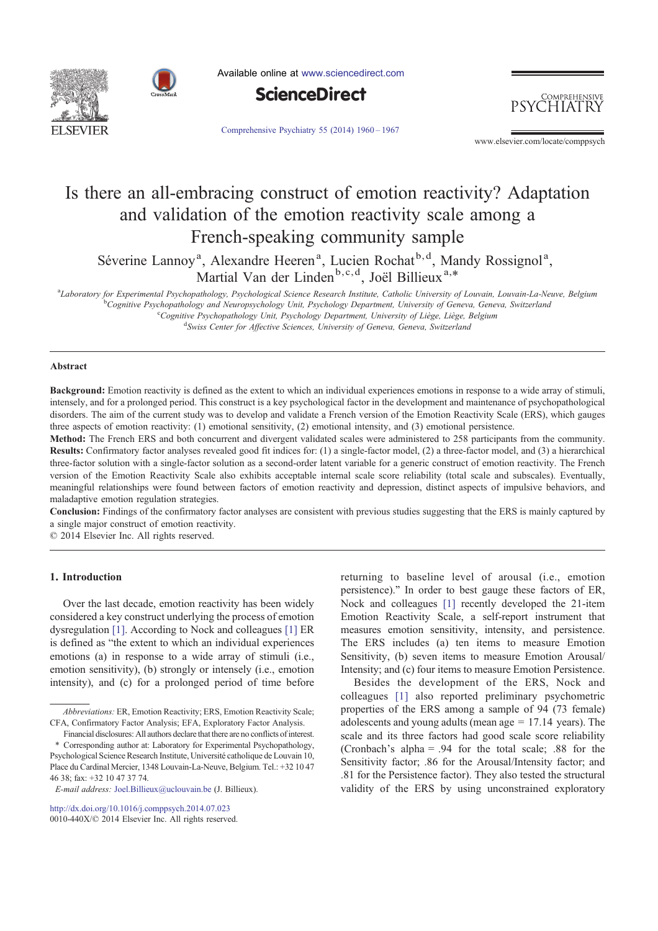



Available online at [www.sciencedirect.com](http://www.sciencedirect.com/science/journal/0010440X)



**PSYCHIATRY** 

[Comprehensive Psychiatry 55 \(2014\) 1960](http://dx.doi.org/10.1016/j.comppsych.2014.07.023)–1967

www.elsevier.com/locate/comppsych

# Is there an all-embracing construct of emotion reactivity? Adaptation and validation of the emotion reactivity scale among a French-speaking community sample

Séverine Lannoy<sup>a</sup>, Alexandre Heeren<sup>a</sup>, Lucien Rochat<sup>b, d</sup>, Mandy Rossignol<sup>a</sup>, Martial Van der Linden<sup>b, c, d</sup>, Joël Billieux<sup>a,\*</sup>

a<br>Alaboratory for Experimental Psychopathology, Psychological Science Research Institute, Catholic University of Louvain, Louvain-La-Neuve, Belgium

**b**<br> **Cognitive Psychopathology and Neuropsychology Unit, Psychology Department, University of Geneva, Geneva, Switzerland** c Cognitive Psychopathology Unit, Psychology Department, University of Liège, Liège, Belgium

<sup>d</sup> Swiss Center for Affective Sciences, University of Geneva, Geneva, Switzerland

#### Abstract

Background: Emotion reactivity is defined as the extent to which an individual experiences emotions in response to a wide array of stimuli, intensely, and for a prolonged period. This construct is a key psychological factor in the development and maintenance of psychopathological disorders. The aim of the current study was to develop and validate a French version of the Emotion Reactivity Scale (ERS), which gauges three aspects of emotion reactivity: (1) emotional sensitivity, (2) emotional intensity, and (3) emotional persistence.

Method: The French ERS and both concurrent and divergent validated scales were administered to 258 participants from the community. Results: Confirmatory factor analyses revealed good fit indices for: (1) a single-factor model, (2) a three-factor model, and (3) a hierarchical three-factor solution with a single-factor solution as a second-order latent variable for a generic construct of emotion reactivity. The French version of the Emotion Reactivity Scale also exhibits acceptable internal scale score reliability (total scale and subscales). Eventually, meaningful relationships were found between factors of emotion reactivity and depression, distinct aspects of impulsive behaviors, and maladaptive emotion regulation strategies.

Conclusion: Findings of the confirmatory factor analyses are consistent with previous studies suggesting that the ERS is mainly captured by a single major construct of emotion reactivity.

© 2014 Elsevier Inc. All rights reserved.

# 1. Introduction

Over the last decade, emotion reactivity has been widely considered a key construct underlying the process of emotion dysregulation [1]. According to Nock and colleagues [1] ER is defined as "the extent to which an individual experiences emotions (a) in response to a wide array of stimuli (i.e., emotion sensitivity), (b) strongly or intensely (i.e., emotion intensity), and (c) for a prolonged period of time before

<http://dx.doi.org/10.1016/j.comppsych.2014.07.023> 0010-440X/© 2014 Elsevier Inc. All rights reserved. returning to baseline level of arousal (i.e., emotion persistence)." In order to best gauge these factors of ER, Nock and colleagues [1] recently developed the 21-item Emotion Reactivity Scale, a self-report instrument that measures emotion sensitivity, intensity, and persistence. The ERS includes (a) ten items to measure Emotion Sensitivity, (b) seven items to measure Emotion Arousal/ Intensity; and (c) four items to measure Emotion Persistence.

Besides the development of the ERS, Nock and colleagues [1] also reported preliminary psychometric properties of the ERS among a sample of 94 (73 female) adolescents and young adults (mean age  $= 17.14$  years). The scale and its three factors had good scale score reliability (Cronbach's alpha = .94 for the total scale; .88 for the Sensitivity factor; .86 for the Arousal/Intensity factor; and .81 for the Persistence factor). They also tested the structural validity of the ERS by using unconstrained exploratory

Abbreviations: ER, Emotion Reactivity: ERS, Emotion Reactivity Scale; CFA, Confirmatory Factor Analysis; EFA, Exploratory Factor Analysis.

Financial disclosures: All authors declare that there are no conflicts of interest.

<sup>⁎</sup> Corresponding author at: Laboratory for Experimental Psychopathology, Psychological Science Research Institute, Université catholique de Louvain 10, Place du Cardinal Mercier, 1348 Louvain-La-Neuve, Belgium. Tel.: +32 10 47 46 38; fax: +32 10 47 37 74.

E-mail address: [Joel.Billieux@uclouvain.be](mailto:Joel.Billieux@uclouvain.be) (J. Billieux).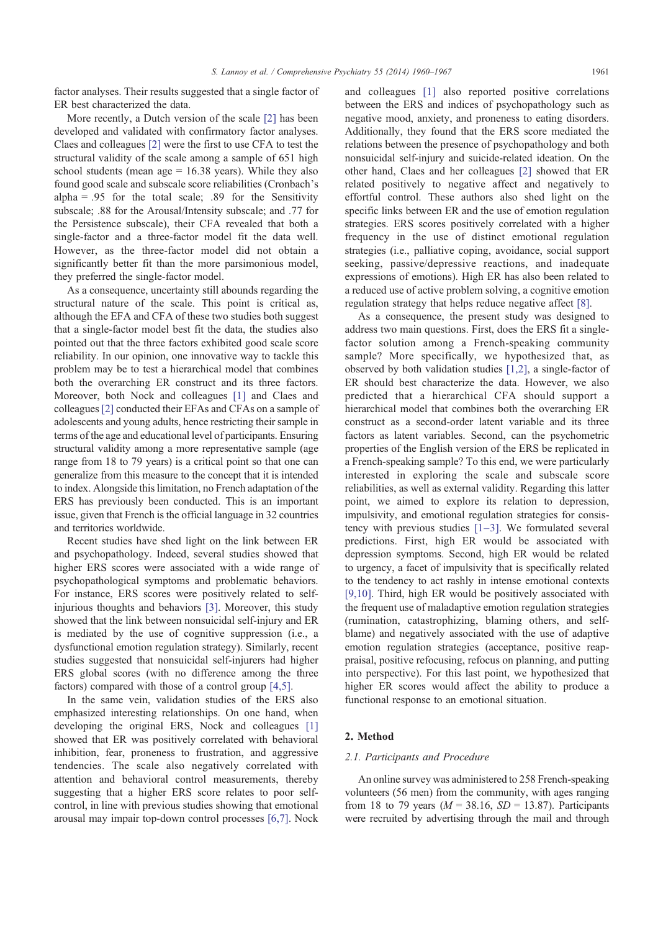factor analyses. Their results suggested that a single factor of ER best characterized the data.

More recently, a Dutch version of the scale [2] has been developed and validated with confirmatory factor analyses. Claes and colleagues [2] were the first to use CFA to test the structural validity of the scale among a sample of 651 high school students (mean age  $= 16.38$  years). While they also found good scale and subscale score reliabilities (Cronbach's alpha =  $.95$  for the total scale;  $.89$  for the Sensitivity subscale; .88 for the Arousal/Intensity subscale; and .77 for the Persistence subscale), their CFA revealed that both a single-factor and a three-factor model fit the data well. However, as the three-factor model did not obtain a significantly better fit than the more parsimonious model. they preferred the single-factor model.

As a consequence, uncertainty still abounds regarding the structural nature of the scale. This point is critical as, although the EFA and CFA of these two studies both suggest that a single-factor model best fit the data, the studies also pointed out that the three factors exhibited good scale score reliability. In our opinion, one innovative way to tackle this problem may be to test a hierarchical model that combines both the overarching ER construct and its three factors. Moreover, both Nock and colleagues [1] and Claes and colleagues [2] conducted their EFAs and CFAs on a sample of adolescents and young adults, hence restricting their sample in terms of the age and educational level of participants. Ensuring structural validity among a more representative sample (age range from 18 to 79 years) is a critical point so that one can generalize from this measure to the concept that it is intended to index. Alongside this limitation, no French adaptation of the ERS has previously been conducted. This is an important issue, given that French is the official language in 32 countries and territories worldwide.

Recent studies have shed light on the link between ER and psychopathology. Indeed, several studies showed that higher ERS scores were associated with a wide range of psychopathological symptoms and problematic behaviors. For instance, ERS scores were positively related to selfinjurious thoughts and behaviors [3]. Moreover, this study showed that the link between nonsuicidal self-injury and ER is mediated by the use of cognitive suppression (i.e., a dysfunctional emotion regulation strategy). Similarly, recent studies suggested that nonsuicidal self-injurers had higher ERS global scores (with no difference among the three factors) compared with those of a control group [4,5].

In the same vein, validation studies of the ERS also emphasized interesting relationships. On one hand, when developing the original ERS, Nock and colleagues [1] showed that ER was positively correlated with behavioral inhibition, fear, proneness to frustration, and aggressive tendencies. The scale also negatively correlated with attention and behavioral control measurements, thereby suggesting that a higher ERS score relates to poor selfcontrol, in line with previous studies showing that emotional arousal may impair top-down control processes [6,7]. Nock and colleagues [1] also reported positive correlations between the ERS and indices of psychopathology such as negative mood, anxiety, and proneness to eating disorders. Additionally, they found that the ERS score mediated the relations between the presence of psychopathology and both nonsuicidal self-injury and suicide-related ideation. On the other hand, Claes and her colleagues [2] showed that ER related positively to negative affect and negatively to effortful control. These authors also shed light on the specific links between ER and the use of emotion regulation strategies. ERS scores positively correlated with a higher frequency in the use of distinct emotional regulation strategies (i.e., palliative coping, avoidance, social support seeking, passive/depressive reactions, and inadequate expressions of emotions). High ER has also been related to a reduced use of active problem solving, a cognitive emotion regulation strategy that helps reduce negative affect [8].

As a consequence, the present study was designed to address two main questions. First, does the ERS fit a singlefactor solution among a French-speaking community sample? More specifically, we hypothesized that, as observed by both validation studies [1,2], a single-factor of ER should best characterize the data. However, we also predicted that a hierarchical CFA should support a hierarchical model that combines both the overarching ER construct as a second-order latent variable and its three factors as latent variables. Second, can the psychometric properties of the English version of the ERS be replicated in a French-speaking sample? To this end, we were particularly interested in exploring the scale and subscale score reliabilities, as well as external validity. Regarding this latter point, we aimed to explore its relation to depression, impulsivity, and emotional regulation strategies for consistency with previous studies  $[1-3]$ . We formulated several predictions. First, high ER would be associated with depression symptoms. Second, high ER would be related to urgency, a facet of impulsivity that is specifically related to the tendency to act rashly in intense emotional contexts [9,10]. Third, high ER would be positively associated with the frequent use of maladaptive emotion regulation strategies (rumination, catastrophizing, blaming others, and selfblame) and negatively associated with the use of adaptive emotion regulation strategies (acceptance, positive reappraisal, positive refocusing, refocus on planning, and putting into perspective). For this last point, we hypothesized that higher ER scores would affect the ability to produce a functional response to an emotional situation.

# 2. Method

# 2.1. Participants and Procedure

An online survey was administered to 258 French-speaking volunteers (56 men) from the community, with ages ranging from 18 to 79 years ( $M = 38.16$ ,  $SD = 13.87$ ). Participants were recruited by advertising through the mail and through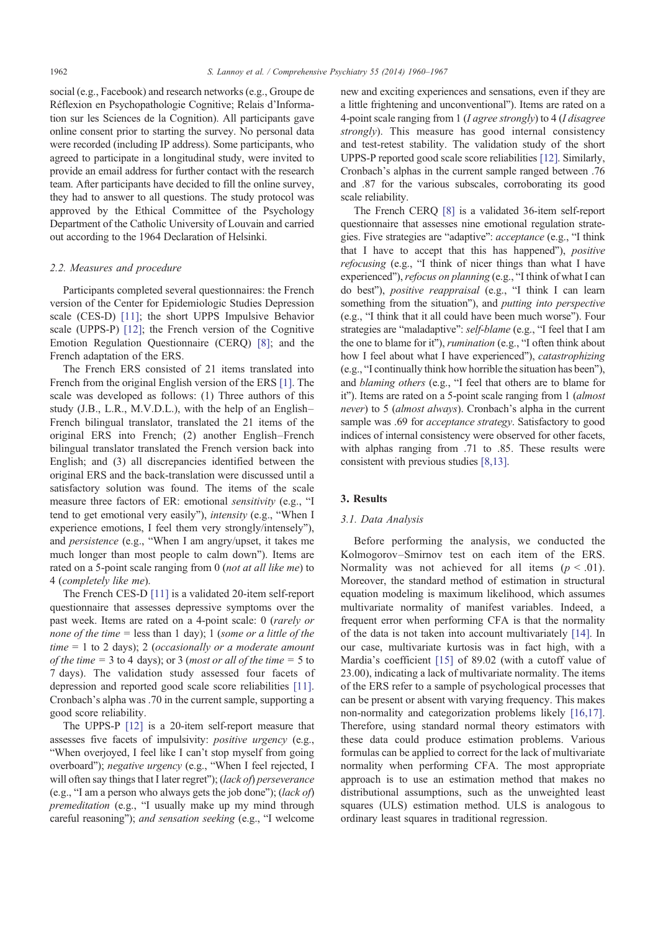social (e.g., Facebook) and research networks (e.g., Groupe de Réflexion en Psychopathologie Cognitive; Relais d'Information sur les Sciences de la Cognition). All participants gave online consent prior to starting the survey. No personal data were recorded (including IP address). Some participants, who agreed to participate in a longitudinal study, were invited to provide an email address for further contact with the research team. After participants have decided to fill the online survey, they had to answer to all questions. The study protocol was approved by the Ethical Committee of the Psychology Department of the Catholic University of Louvain and carried out according to the 1964 Declaration of Helsinki.

#### 2.2. Measures and procedure

Participants completed several questionnaires: the French version of the Center for Epidemiologic Studies Depression scale (CES-D) [11]; the short UPPS Impulsive Behavior scale (UPPS-P) [12]; the French version of the Cognitive Emotion Regulation Questionnaire (CERQ) [8]; and the French adaptation of the ERS.

The French ERS consisted of 21 items translated into French from the original English version of the ERS [1]. The scale was developed as follows: (1) Three authors of this study (J.B., L.R., M.V.D.L.), with the help of an English– French bilingual translator, translated the 21 items of the original ERS into French; (2) another English–French bilingual translator translated the French version back into English; and (3) all discrepancies identified between the original ERS and the back-translation were discussed until a satisfactory solution was found. The items of the scale measure three factors of ER: emotional sensitivity (e.g., "I tend to get emotional very easily"), intensity (e.g., "When I experience emotions, I feel them very strongly/intensely"), and persistence (e.g., "When I am angry/upset, it takes me much longer than most people to calm down"). Items are rated on a 5-point scale ranging from 0 (*not at all like me*) to 4 (completely like me).

The French CES-D [11] is a validated 20-item self-report questionnaire that assesses depressive symptoms over the past week. Items are rated on a 4-point scale: 0 (rarely or none of the time = less than 1 day); 1 (some or a little of the  $time = 1$  to 2 days); 2 (occasionally or a moderate amount of the time  $= 3$  to 4 days); or 3 (most or all of the time  $= 5$  to 7 days). The validation study assessed four facets of depression and reported good scale score reliabilities [11]. Cronbach's alpha was .70 in the current sample, supporting a good score reliability.

The UPPS-P [12] is a 20-item self-report measure that assesses five facets of impulsivity: positive urgency (e.g., "When overjoyed, I feel like I can't stop myself from going overboard"); negative urgency (e.g., "When I feel rejected, I will often say things that I later regret"); (lack of) perseverance (e.g., "I am a person who always gets the job done"); (lack of) premeditation (e.g., "I usually make up my mind through careful reasoning"); and sensation seeking (e.g., "I welcome new and exciting experiences and sensations, even if they are a little frightening and unconventional"). Items are rated on a 4-point scale ranging from 1 (I agree strongly) to 4 (I disagree strongly). This measure has good internal consistency and test-retest stability. The validation study of the short UPPS-P reported good scale score reliabilities [12]. Similarly, Cronbach's alphas in the current sample ranged between .76 and .87 for the various subscales, corroborating its good scale reliability.

The French CERQ [8] is a validated 36-item self-report questionnaire that assesses nine emotional regulation strategies. Five strategies are "adaptive": acceptance (e.g., "I think that I have to accept that this has happened"), *positive* refocusing (e.g., "I think of nicer things than what I have experienced"), refocus on planning (e.g., "I think of what I can do best"), positive reappraisal (e.g., "I think I can learn something from the situation"), and *putting into perspective* (e.g., "I think that it all could have been much worse"). Four strategies are "maladaptive": self-blame (e.g., "I feel that I am the one to blame for it"), rumination (e.g., "I often think about how I feel about what I have experienced"), *catastrophizing* (e.g., "I continually think how horrible the situation has been"), and blaming others (e.g., "I feel that others are to blame for it"). Items are rated on a 5-point scale ranging from 1 (almost never) to 5 (almost always). Cronbach's alpha in the current sample was .69 for *acceptance strategy*. Satisfactory to good indices of internal consistency were observed for other facets, with alphas ranging from .71 to .85. These results were consistent with previous studies [8,13].

# 3. Results

#### 3.1. Data Analysis

Before performing the analysis, we conducted the Kolmogorov–Smirnov test on each item of the ERS. Normality was not achieved for all items ( $p < .01$ ). Moreover, the standard method of estimation in structural equation modeling is maximum likelihood, which assumes multivariate normality of manifest variables. Indeed, a frequent error when performing CFA is that the normality of the data is not taken into account multivariately [14]. In our case, multivariate kurtosis was in fact high, with a Mardia's coefficient [15] of 89.02 (with a cutoff value of 23.00), indicating a lack of multivariate normality. The items of the ERS refer to a sample of psychological processes that can be present or absent with varying frequency. This makes non-normality and categorization problems likely [16,17]. Therefore, using standard normal theory estimators with these data could produce estimation problems. Various formulas can be applied to correct for the lack of multivariate normality when performing CFA. The most appropriate approach is to use an estimation method that makes no distributional assumptions, such as the unweighted least squares (ULS) estimation method. ULS is analogous to ordinary least squares in traditional regression.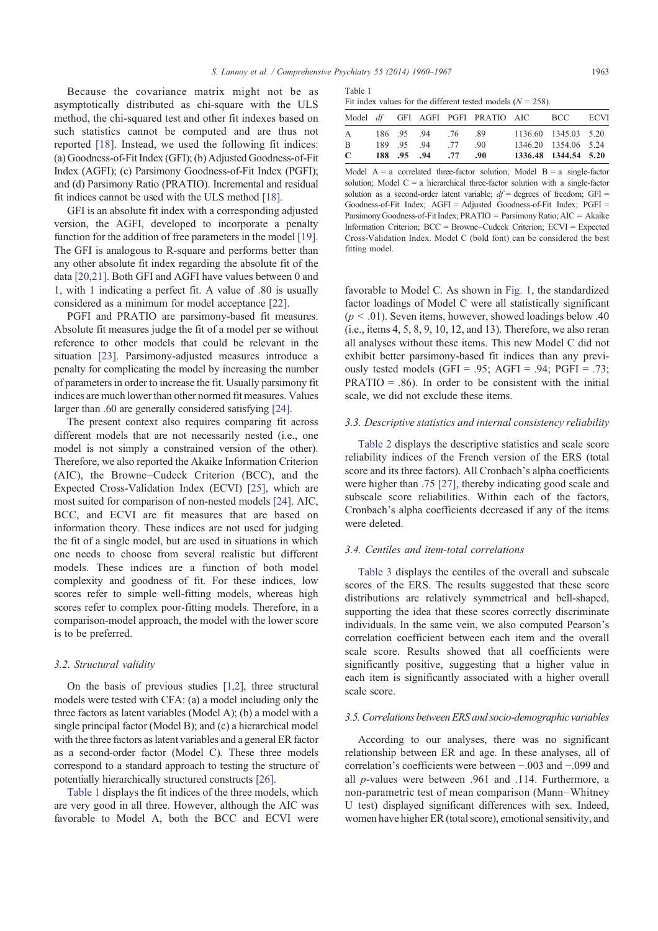Because the covariance matrix might not be as asymptotically distributed as chi-square with the ULS method, the chi-squared test and other fit indexes based on such statistics cannot be computed and are thus not reported [18]. Instead, we used the following fit indices: (a) Goodness-of-Fit Index (GFI); (b) Adjusted Goodness-of-Fit Index (AGFI); (c) Parsimony Goodness-of-Fit Index (PGFI); and (d) Parsimony Ratio (PRATIO). Incremental and residual fit indices cannot be used with the ULS method [18].

GFI is an absolute fit index with a corresponding adjusted version, the AGFI, developed to incorporate a penalty function for the addition of free parameters in the model [19]. The GFI is analogous to R-square and performs better than any other absolute fit index regarding the absolute fit of the data [20,21]. Both GFI and AGFI have values between 0 and 1, with 1 indicating a perfect fit. A value of .80 is usually considered as a minimum for model acceptance [22].

PGFI and PRATIO are parsimony-based fit measures. Absolute fit measures judge the fit of a model per se without reference to other models that could be relevant in the situation [23]. Parsimony-adjusted measures introduce a penalty for complicating the model by increasing the number of parameters in order to increase the fit. Usually parsimony fit indices are much lower than other normed fit measures. Values larger than .60 are generally considered satisfying [24].

The present context also requires comparing fit across different models that are not necessarily nested (i.e., one model is not simply a constrained version of the other). Therefore, we also reported the Akaike Information Criterion (AIC), the Browne–Cudeck Criterion (BCC), and the Expected Cross-Validation Index (ECVI) [25], which are most suited for comparison of non-nested models [24]. AIC, BCC, and ECVI are fit measures that are based on information theory. These indices are not used for judging the fit of a single model, but are used in situations in which one needs to choose from several realistic but different models. These indices are a function of both model complexity and goodness of fit. For these indices, low scores refer to simple well-fitting models, whereas high scores refer to complex poor-fitting models. Therefore, in a comparison-model approach, the model with the lower score is to be preferred.

## 3.2. Structural validity

On the basis of previous studies [1,2], three structural models were tested with CFA: (a) a model including only the three factors as latent variables (Model A); (b) a model with a single principal factor (Model B); and (c) a hierarchical model with the three factors as latent variables and a general ER factor as a second-order factor (Model C). These three models correspond to a standard approach to testing the structure of potentially hierarchically structured constructs [26].

Table 1 displays the fit indices of the three models, which are very good in all three. However, although the AIC was favorable to Model A, both the BCC and ECVI were

Table 1 Fit index values for the different tested models ( $N = 258$ ).

|        |             |                 |     | Model df GFI AGFI PGFI PRATIO AIC | – BCC                                        | ECVI |
|--------|-------------|-----------------|-----|-----------------------------------|----------------------------------------------|------|
| A<br>B | 189 95 94   | 186 95 94 76 89 | -77 | -90                               | 1136.60 1345.03 5.20<br>1346.20 1354.06 5.24 |      |
| C      | 188 .95 .94 |                 | .77 | .90                               | 1336.48 1344.54 5.20                         |      |

Model  $A = a$  correlated three-factor solution; Model  $B = a$  single-factor solution; Model  $C = a$  hierarchical three-factor solution with a single-factor solution as a second-order latent variable;  $df =$  degrees of freedom; GFI = Goodness-of-Fit Index; AGFI = Adjusted Goodness-of-Fit Index; PGFI = Parsimony Goodness-of-Fit Index; PRATIO = Parsimony Ratio; AIC = Akaike Information Criterion; BCC = Browne–Cudeck Criterion; ECVI = Expected Cross-Validation Index. Model C (bold font) can be considered the best fitting model.

favorable to Model C. As shown in Fig. 1, the standardized factor loadings of Model C were all statistically significant  $(p < .01)$ . Seven items, however, showed loadings below .40 (i.e., items 4, 5, 8, 9, 10, 12, and 13). Therefore, we also reran all analyses without these items. This new Model C did not exhibit better parsimony-based fit indices than any previously tested models (GFI = .95; AGFI = .94; PGFI = .73; PRATIO =  $.86$ ). In order to be consistent with the initial scale, we did not exclude these items.

#### 3.3. Descriptive statistics and internal consistency reliability

Table 2 displays the descriptive statistics and scale score reliability indices of the French version of the ERS (total score and its three factors). All Cronbach's alpha coefficients were higher than .75 [27], thereby indicating good scale and subscale score reliabilities. Within each of the factors, Cronbach's alpha coefficients decreased if any of the items were deleted.

# 3.4. Centiles and item-total correlations

Table 3 displays the centiles of the overall and subscale scores of the ERS. The results suggested that these score distributions are relatively symmetrical and bell-shaped, supporting the idea that these scores correctly discriminate individuals. In the same vein, we also computed Pearson's correlation coefficient between each item and the overall scale score. Results showed that all coefficients were significantly positive, suggesting that a higher value in each item is significantly associated with a higher overall scale score.

# 3.5. Correlations between ERS and socio-demographic variables

According to our analyses, there was no significant relationship between ER and age. In these analyses, all of correlation's coefficients were between −.003 and −.099 and all p-values were between .961 and .114. Furthermore, a non-parametric test of mean comparison (Mann–Whitney U test) displayed significant differences with sex. Indeed, women have higher ER (total score), emotional sensitivity, and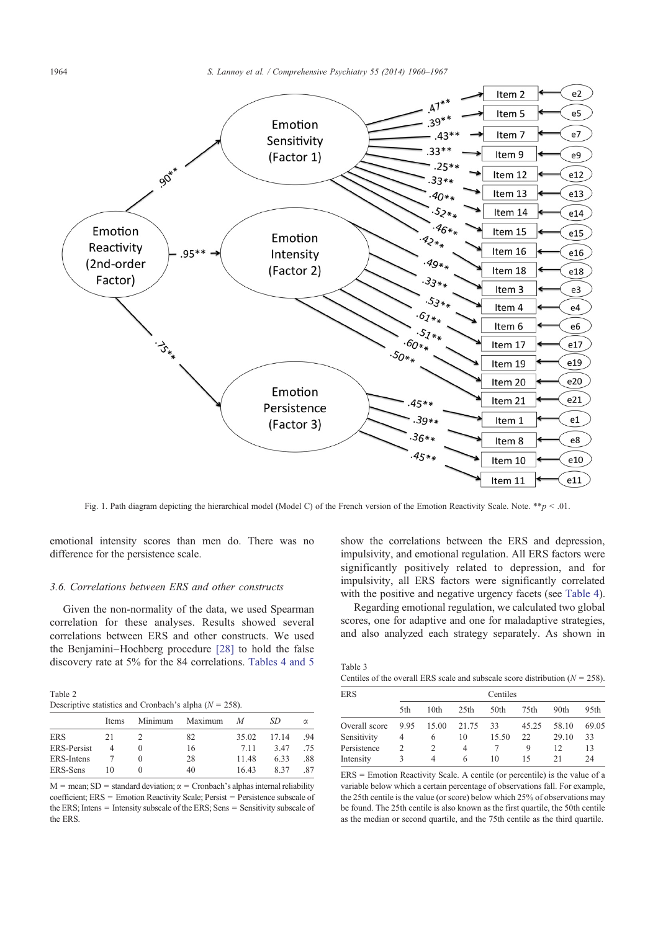

Fig. 1. Path diagram depicting the hierarchical model (Model C) of the French version of the Emotion Reactivity Scale. Note.  $*_{p}$  < .01.

emotional intensity scores than men do. There was no difference for the persistence scale.

# 3.6. Correlations between ERS and other constructs

Given the non-normality of the data, we used Spearman correlation for these analyses. Results showed several correlations between ERS and other constructs. We used the Benjamini–Hochberg procedure [28] to hold the false discovery rate at 5% for the 84 correlations. Tables 4 and 5

| Table 2                                                    |  |
|------------------------------------------------------------|--|
| Descriptive statistics and Cronbach's alpha ( $N = 258$ ). |  |

|                    | <b>Items</b> | Minimum | Maximum | M     | SD    | α   |
|--------------------|--------------|---------|---------|-------|-------|-----|
| <b>ERS</b>         | 21           |         | 82      | 35.02 | 17 14 | .94 |
| <b>ERS-Persist</b> |              |         | 16      | 7 1 1 | 347   | .75 |
| <b>ERS-Intens</b>  |              |         | 28      | 11.48 | 633   | .88 |
| ERS-Sens           | 10           |         | 40      | 16.43 | 837   | .87 |

 $M =$  mean; SD = standard deviation;  $\alpha =$  Cronbach's alphas internal reliability coefficient; ERS = Emotion Reactivity Scale; Persist = Persistence subscale of the ERS; Intens = Intensity subscale of the ERS; Sens = Sensitivity subscale of the ERS.

show the correlations between the ERS and depression, impulsivity, and emotional regulation. All ERS factors were significantly positively related to depression, and for impulsivity, all ERS factors were significantly correlated with the positive and negative urgency facets (see Table 4).

Regarding emotional regulation, we calculated two global scores, one for adaptive and one for maladaptive strategies, and also analyzed each strategy separately. As shown in

| Table 3                                                                          |  |  |
|----------------------------------------------------------------------------------|--|--|
| Centiles of the overall ERS scale and subscale score distribution ( $N = 258$ ). |  |  |

| <b>ERS</b>    | Centiles      |       |                  |       |       |       |                  |
|---------------|---------------|-------|------------------|-------|-------|-------|------------------|
|               | 5th           | 10th  | 25 <sub>th</sub> | 50th  | 75th  | 90th  | 95 <sub>th</sub> |
| Overall score | 9.95          | 15.00 | 21.75            | 33    | 45.25 | 58.10 | 69.05            |
| Sensitivity   | 4             | 6     | 10               | 15.50 | 22.   | 29.10 | 33               |
| Persistence   | $\mathcal{D}$ | 2     | 4                |       | 9     | 12    | 13               |
| Intensity     | 3             | 4     | 6                | 10    | 15    | 21    | 24               |

ERS = Emotion Reactivity Scale. A centile (or percentile) is the value of a variable below which a certain percentage of observations fall. For example, the 25th centile is the value (or score) below which 25% of observations may be found. The 25th centile is also known as the first quartile, the 50th centile as the median or second quartile, and the 75th centile as the third quartile.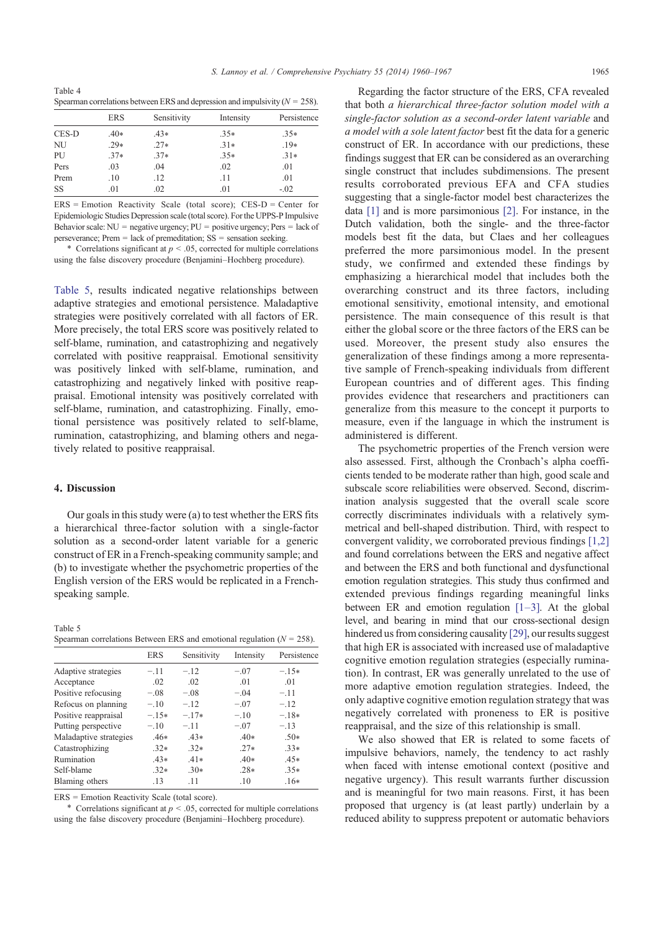Table 4 Spearman correlations between ERS and depression and impulsivity ( $N = 258$ ).

|           | <b>ERS</b> | Sensitivity | Intensity | Persistence |
|-----------|------------|-------------|-----------|-------------|
| CES-D     | $.40*$     | $.43*$      | $.35*$    | $.35*$      |
| <b>NU</b> | $.29*$     | $.27*$      | $.31*$    | $.19*$      |
| PU        | $.37*$     | $.37*$      | $.35*$    | $.31*$      |
| Pers      | .03        | .04         | .02       | .01         |
| Prem      | .10        | .12         | .11       | .01         |
| <b>SS</b> | .01        | .02         | .01       | $-.02$      |

ERS = Emotion Reactivity Scale (total score); CES-D = Center for Epidemiologic Studies Depression scale (total score). For the UPPS-P Impulsive Behavior scale:  $NU =$  negative urgency;  $PU =$  positive urgency;  $Pers =$  lack of perseverance; Prem = lack of premeditation; SS = sensation seeking.

\* Correlations significant at  $p < .05$ , corrected for multiple correlations using the false discovery procedure (Benjamini–Hochberg procedure).

Table 5, results indicated negative relationships between adaptive strategies and emotional persistence. Maladaptive strategies were positively correlated with all factors of ER. More precisely, the total ERS score was positively related to self-blame, rumination, and catastrophizing and negatively correlated with positive reappraisal. Emotional sensitivity was positively linked with self-blame, rumination, and catastrophizing and negatively linked with positive reappraisal. Emotional intensity was positively correlated with self-blame, rumination, and catastrophizing. Finally, emotional persistence was positively related to self-blame, rumination, catastrophizing, and blaming others and negatively related to positive reappraisal.

## 4. Discussion

Our goals in this study were (a) to test whether the ERS fits a hierarchical three-factor solution with a single-factor solution as a second-order latent variable for a generic construct of ER in a French-speaking community sample; and (b) to investigate whether the psychometric properties of the English version of the ERS would be replicated in a Frenchspeaking sample.

Table 5 Spearman correlations Between ERS and emotional regulation ( $N = 258$ ).

|                        | <b>ERS</b> | Sensitivity | Intensity | Persistence |
|------------------------|------------|-------------|-----------|-------------|
| Adaptive strategies    | $-.11$     | $-.12$      | $-.07$    | $-.15*$     |
| Acceptance             | .02        | .02         | .01       | .01         |
| Positive refocusing    | $-.08$     | $-.08$      | $-.04$    | $-.11$      |
| Refocus on planning    | $-.10$     | $-.12$      | $-.07$    | $-.12$      |
| Positive reappraisal   | $-15*$     | $-.17*$     | $-.10$    | $-.18*$     |
| Putting perspective    | $-.10$     | $-.11$      | $-.07$    | $-.13$      |
| Maladaptive strategies | $.46*$     | $.43*$      | $.40*$    | $.50*$      |
| Catastrophizing        | $.32*$     | $.32*$      | $.27*$    | $.33*$      |
| Rumination             | $.43*$     | $.41*$      | $.40*$    | $.45*$      |
| Self-blame             | $.32*$     | $.30*$      | $.28*$    | $.35*$      |
| Blaming others         | .13        | .11         | .10       | $.16*$      |

ERS = Emotion Reactivity Scale (total score).

\* Correlations significant at  $p < .05$ , corrected for multiple correlations using the false discovery procedure (Benjamini–Hochberg procedure).

Regarding the factor structure of the ERS, CFA revealed that both a hierarchical three-factor solution model with a single-factor solution as a second-order latent variable and a model with a sole latent factor best fit the data for a generic construct of ER. In accordance with our predictions, these findings suggest that ER can be considered as an overarching single construct that includes subdimensions. The present results corroborated previous EFA and CFA studies suggesting that a single-factor model best characterizes the data [1] and is more parsimonious [2]. For instance, in the Dutch validation, both the single- and the three-factor models best fit the data, but Claes and her colleagues preferred the more parsimonious model. In the present study, we confirmed and extended these findings by emphasizing a hierarchical model that includes both the overarching construct and its three factors, including emotional sensitivity, emotional intensity, and emotional persistence. The main consequence of this result is that either the global score or the three factors of the ERS can be used. Moreover, the present study also ensures the generalization of these findings among a more representative sample of French-speaking individuals from different European countries and of different ages. This finding provides evidence that researchers and practitioners can generalize from this measure to the concept it purports to measure, even if the language in which the instrument is administered is different.

The psychometric properties of the French version were also assessed. First, although the Cronbach's alpha coefficients tended to be moderate rather than high, good scale and subscale score reliabilities were observed. Second, discrimination analysis suggested that the overall scale score correctly discriminates individuals with a relatively symmetrical and bell-shaped distribution. Third, with respect to convergent validity, we corroborated previous findings [1,2] and found correlations between the ERS and negative affect and between the ERS and both functional and dysfunctional emotion regulation strategies. This study thus confirmed and extended previous findings regarding meaningful links between ER and emotion regulation  $[1-3]$ . At the global level, and bearing in mind that our cross-sectional design hindered us from considering causality [29], our results suggest that high ER is associated with increased use of maladaptive cognitive emotion regulation strategies (especially rumination). In contrast, ER was generally unrelated to the use of more adaptive emotion regulation strategies. Indeed, the only adaptive cognitive emotion regulation strategy that was negatively correlated with proneness to ER is positive reappraisal, and the size of this relationship is small.

We also showed that ER is related to some facets of impulsive behaviors, namely, the tendency to act rashly when faced with intense emotional context (positive and negative urgency). This result warrants further discussion and is meaningful for two main reasons. First, it has been proposed that urgency is (at least partly) underlain by a reduced ability to suppress prepotent or automatic behaviors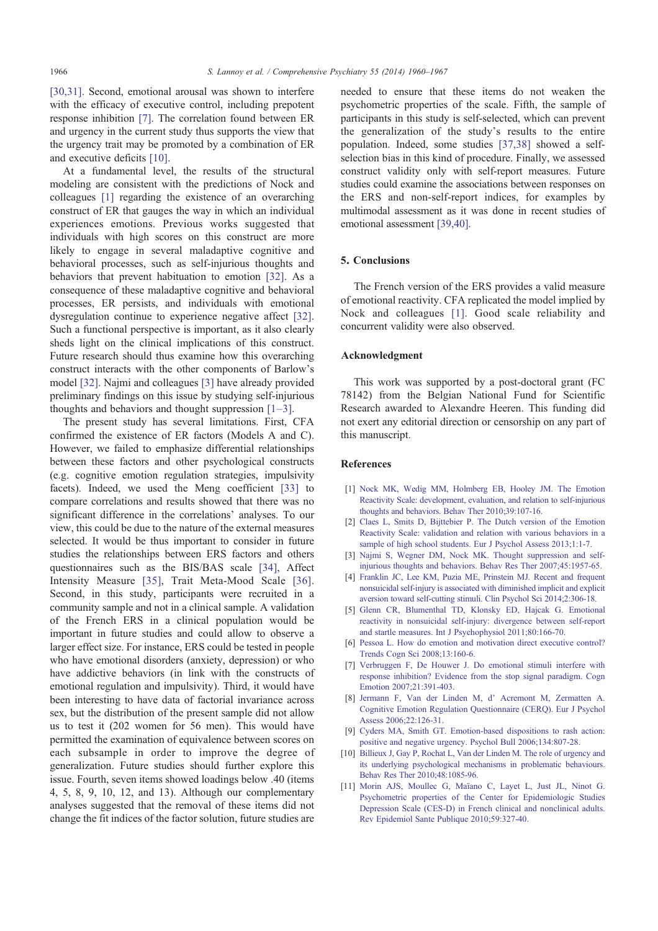[30,31]. Second, emotional arousal was shown to interfere with the efficacy of executive control, including prepotent response inhibition [7]. The correlation found between ER and urgency in the current study thus supports the view that the urgency trait may be promoted by a combination of ER and executive deficits [10].

At a fundamental level, the results of the structural modeling are consistent with the predictions of Nock and colleagues [1] regarding the existence of an overarching construct of ER that gauges the way in which an individual experiences emotions. Previous works suggested that individuals with high scores on this construct are more likely to engage in several maladaptive cognitive and behavioral processes, such as self-injurious thoughts and behaviors that prevent habituation to emotion [32]. As a consequence of these maladaptive cognitive and behavioral processes, ER persists, and individuals with emotional dysregulation continue to experience negative affect [32]. Such a functional perspective is important, as it also clearly sheds light on the clinical implications of this construct. Future research should thus examine how this overarching construct interacts with the other components of Barlow's model [32]. Najmi and colleagues [3] have already provided preliminary findings on this issue by studying self-injurious thoughts and behaviors and thought suppression  $[1-3]$ .

The present study has several limitations. First, CFA confirmed the existence of ER factors (Models A and C). However, we failed to emphasize differential relationships between these factors and other psychological constructs (e.g. cognitive emotion regulation strategies, impulsivity facets). Indeed, we used the Meng coefficient [33] to compare correlations and results showed that there was no significant difference in the correlations' analyses. To our view, this could be due to the nature of the external measures selected. It would be thus important to consider in future studies the relationships between ERS factors and others questionnaires such as the BIS/BAS scale [34], Affect Intensity Measure [35], Trait Meta-Mood Scale [36]. Second, in this study, participants were recruited in a community sample and not in a clinical sample. A validation of the French ERS in a clinical population would be important in future studies and could allow to observe a larger effect size. For instance, ERS could be tested in people who have emotional disorders (anxiety, depression) or who have addictive behaviors (in link with the constructs of emotional regulation and impulsivity). Third, it would have been interesting to have data of factorial invariance across sex, but the distribution of the present sample did not allow us to test it (202 women for 56 men). This would have permitted the examination of equivalence between scores on each subsample in order to improve the degree of generalization. Future studies should further explore this issue. Fourth, seven items showed loadings below .40 (items 4, 5, 8, 9, 10, 12, and 13). Although our complementary analyses suggested that the removal of these items did not change the fit indices of the factor solution, future studies are needed to ensure that these items do not weaken the psychometric properties of the scale. Fifth, the sample of participants in this study is self-selected, which can prevent the generalization of the study's results to the entire population. Indeed, some studies [37,38] showed a selfselection bias in this kind of procedure. Finally, we assessed construct validity only with self-report measures. Future studies could examine the associations between responses on the ERS and non-self-report indices, for examples by multimodal assessment as it was done in recent studies of emotional assessment [39,40].

## 5. Conclusions

The French version of the ERS provides a valid measure of emotional reactivity. CFA replicated the model implied by Nock and colleagues [1]. Good scale reliability and concurrent validity were also observed.

## Acknowledgment

This work was supported by a post-doctoral grant (FC 78142) from the Belgian National Fund for Scientific Research awarded to Alexandre Heeren. This funding did not exert any editorial direction or censorship on any part of this manuscript.

#### **References**

- [1] Nock MK, Wedig MM, Holmberg EB, Hooley JM. The Emotion Reactivity Scale: development, evaluation, and relation to self-injurious thoughts and behaviors. Behav Ther 2010;39:107-16.
- [2] Claes L, Smits D, Bijttebier P. The Dutch version of the Emotion Reactivity Scale: validation and relation with various behaviors in a sample of high school students. Eur J Psychol Assess 2013;1:1-7.
- [3] Najmi S, Wegner DM, Nock MK. Thought suppression and selfinjurious thoughts and behaviors. Behav Res Ther 2007;45:1957-65.
- [4] Franklin JC, Lee KM, Puzia ME, Prinstein MJ. Recent and frequent nonsuicidal self-injury is associated with diminished implicit and explicit aversion toward self-cutting stimuli. Clin Psychol Sci 2014;2:306-18.
- [5] Glenn CR, Blumenthal TD, Klonsky ED, Hajcak G. Emotional reactivity in nonsuicidal self-injury: divergence between self-report and startle measures. Int J Psychophysiol 2011;80:166-70.
- [6] Pessoa L. How do emotion and motivation direct executive control? Trends Cogn Sci 2008;13:160-6.
- [7] Verbruggen F, De Houwer J. Do emotional stimuli interfere with response inhibition? Evidence from the stop signal paradigm. Cogn Emotion 2007;21:391-403.
- [8] Jermann F, Van der Linden M, d' Acremont M, Zermatten A. Cognitive Emotion Regulation Questionnaire (CERQ). Eur J Psychol Assess 2006;22:126-31.
- [9] Cyders MA, Smith GT. Emotion-based dispositions to rash action: positive and negative urgency. Psychol Bull 2006;134:807-28.
- [10] Billieux J, Gay P, Rochat L, Van der Linden M. The role of urgency and its underlying psychological mechanisms in problematic behaviours. Behav Res Ther 2010;48:1085-96.
- [11] Morin AJS, Moullec G, Maïano C, Layet L, Just JL, Ninot G. Psychometric properties of the Center for Epidemiologic Studies Depression Scale (CES-D) in French clinical and nonclinical adults. Rev Epidemiol Sante Publique 2010;59:327-40.